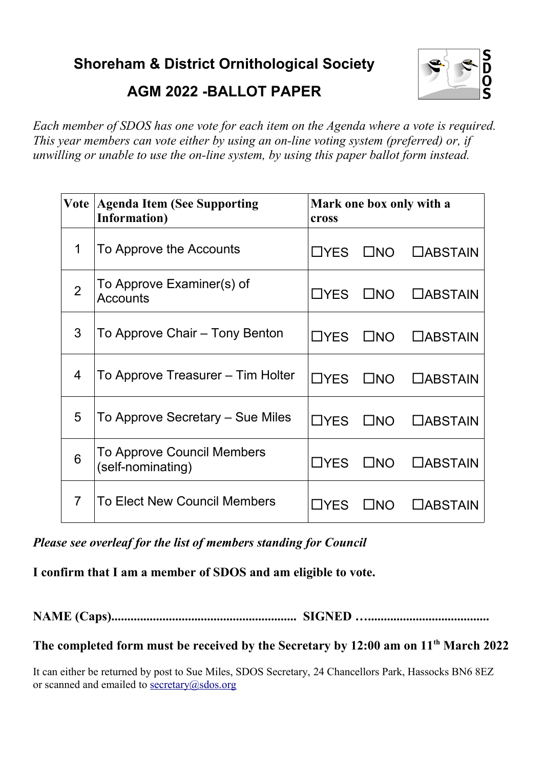**Shoreham & District Ornithological Society**



**AGM 2022 -BALLOT PAPER**

*Each member of SDOS has one vote for each item on the Agenda where a vote is required. This year members can vote either by using an on-line voting system (preferred) or, if unwilling or unable to use the on-line system, by using this paper ballot form instead.* 

| Vote           | <b>Agenda Item (See Supporting</b><br><b>Information</b> ) | Mark one box only with a<br>cross |              |                 |
|----------------|------------------------------------------------------------|-----------------------------------|--------------|-----------------|
| 1              | To Approve the Accounts                                    | $\Box$ YES                        | $\square$ NO | $\Box$ ABSTAIN  |
| $\overline{2}$ | To Approve Examiner(s) of<br><b>Accounts</b>               | $\Box$ YES                        | $\square$ NO | <b>CABSTAIN</b> |
| 3              | To Approve Chair – Tony Benton                             | $\Box$ YES                        | $\square$ NO | <b>CABSTAIN</b> |
| 4              | To Approve Treasurer – Tim Holter                          | $\Box$ YES                        | $\square$ NO | <b>CABSTAIN</b> |
| 5              | To Approve Secretary – Sue Miles                           | $\Box$ YES                        | $\square$ NO | <b>CABSTAIN</b> |
| 6              | To Approve Council Members<br>(self-nominating)            | $\Box$ YES                        | $\square$ NO | <b>CABSTAIN</b> |
| $\overline{7}$ | <b>To Elect New Council Members</b>                        | $\Box$ YES                        | $\Box$ No    | $\Box$ ABSTAIN  |

*Please see overleaf for the list of members standing for Council*

**I confirm that I am a member of SDOS and am eligible to vote.**

**NAME (Caps).......................................................... SIGNED …......................................**

**The completed form must be received by the Secretary by 12:00 am on 11th March 2022**

It can either be returned by post to Sue Miles, SDOS Secretary, 24 Chancellors Park, Hassocks BN6 8EZ or scanned and emailed to  $\frac{\text{secretary}(a) \cdot \text{sdos.org}}{a}$